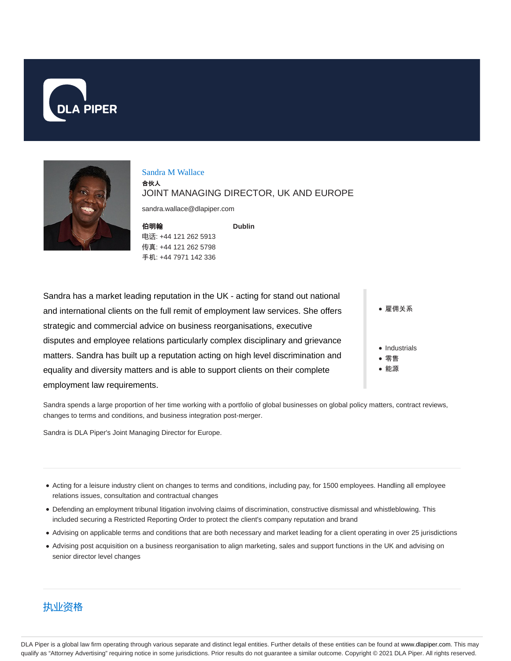



#### Sandra M Wallace

合伙人

#### JOINT MANAGING DIRECTOR, UK AND EUROPE

**Dublin**

sandra.wallace@dlapiper.com

| 伯明翰                  |
|----------------------|
| 电话: +44 121 262 5913 |
| 传真: +44 121 262 5798 |
| 手机: +44 7971 142 336 |

Sandra has a market leading reputation in the UK - acting for stand out national and international clients on the full remit of employment law services. She offers strategic and commercial advice on business reorganisations, executive disputes and employee relations particularly complex disciplinary and grievance matters. Sandra has built up a reputation acting on high level discrimination and equality and diversity matters and is able to support clients on their complete employment law requirements.

● 雇佣关系

- Industrials
- 零售
- 能源

Sandra spends a large proportion of her time working with a portfolio of global businesses on global policy matters, contract reviews, changes to terms and conditions, and business integration post-merger.

Sandra is DLA Piper's Joint Managing Director for Europe.

- Acting for a leisure industry client on changes to terms and conditions, including pay, for 1500 employees. Handling all employee relations issues, consultation and contractual changes
- Defending an employment tribunal litigation involving claims of discrimination, constructive dismissal and whistleblowing. This included securing a Restricted Reporting Order to protect the client's company reputation and brand
- Advising on applicable terms and conditions that are both necessary and market leading for a client operating in over 25 jurisdictions
- Advising post acquisition on a business reorganisation to align marketing, sales and support functions in the UK and advising on senior director level changes



DLA Piper is a global law firm operating through various separate and distinct legal entities. Further details of these entities can be found at www.dlapiper.com. This may qualify as "Attorney Advertising" requiring notice in some jurisdictions. Prior results do not guarantee a similar outcome. Copyright © 2021 DLA Piper. All rights reserved.